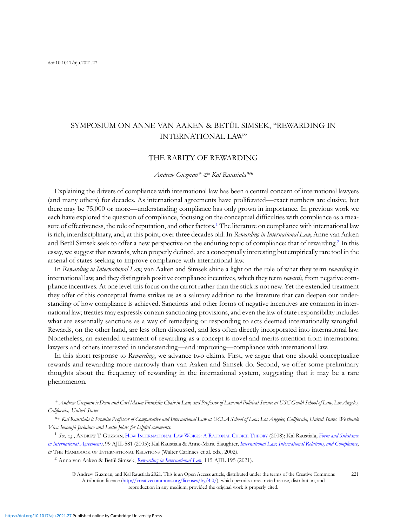# SYMPOSIUM ON ANNE VAN AAKEN & BETÜL SIMSEK, "REWARDING IN INTERNATIONAL LAW"

## THE RARITY OF REWARDING

#### Andrew Guzman<sup>\*</sup> & Kal Raustiala<sup>\*\*</sup>

Explaining the drivers of compliance with international law has been a central concern of international lawyers (and many others) for decades. As international agreements have proliferated—exact numbers are elusive, but there may be 75,000 or more—understanding compliance has only grown in importance. In previous work we each have explored the question of compliance, focusing on the conceptual difficulties with compliance as a measure of effectiveness, the role of reputation, and other factors.<sup>1</sup> The literature on compliance with international law is rich, interdisciplinary, and, at this point, over three decades old. In Rewarding in International Law, Anne van Aaken and Betül Simsek seek to offer a new perspective on the enduring topic of compliance: that of rewarding.<sup>2</sup> In this essay, we suggest that rewards, when properly defined, are a conceptually interesting but empirically rare tool in the arsenal of states seeking to improve compliance with international law.

In Rewarding in International Law, van Aaken and Simsek shine a light on the role of what they term rewarding in international law, and they distinguish positive compliance incentives, which they term *rewards*, from negative compliance incentives. At one level this focus on the carrot rather than the stick is not new. Yet the extended treatment they offer of this conceptual frame strikes us as a salutary addition to the literature that can deepen our understanding of how compliance is achieved. Sanctions and other forms of negative incentives are common in international law; treaties may expressly contain sanctioning provisions, and even the law of state responsibility includes what are essentially sanctions as a way of remedying or responding to acts deemed internationally wrongful. Rewards, on the other hand, are less often discussed, and less often directly incorporated into international law. Nonetheless, an extended treatment of rewarding as a concept is novel and merits attention from international lawyers and others interested in understanding—and improving—compliance with international law.

In this short response to Rewarding, we advance two claims. First, we argue that one should conceptualize rewards and rewarding more narrowly than van Aaken and Simsek do. Second, we offer some preliminary thoughts about the frequency of rewarding in the international system, suggesting that it may be a rare phenomenon.

\* Andrew Guzman is Dean and Carl Mason Franklin Chair in Law, and Professor of Law and Political Science at USC Gould School of Law, Los Angeles, California, United States

\*\* Kal Raustiala is Promise Professor of Comparative and International Law at UCLA School of Law, Los Angeles, California, United States. We thank Viva Iemanjá Jerónimo and Leslie Johns for helpful comments.

<sup>1</sup> See, e.g., ANDREW T. GUZMAN, HOW INTERNATIONAL LAW WORKS: A RATIONAL CHOICE THEORY (2008); Kal Raustiala, [Form and Substance](https://www.jstor.org/stable/1602292) [in International Agreements](https://www.jstor.org/stable/1602292), 99 AJIL 581 (2005); Kal Raustiala & Anne-Marie Slaughter, [International Law, International Relations, and Compliance](https://papers.ssrn.com/sol3/papers.cfm?abstract_id=347260), in THE HANDBOOK OF INTERNATIONAL RELATIONS (Walter Carlnaes et al. eds., 2002).

<sup>2</sup> Anna van Aaken & Betül Simsek, [Rewarding in International Law](https://doi.org/10.1017/ajil.2021.2), 115 AJIL 195 (2021).

© Andrew Guzman, and Kal Raustiala 2021. This is an Open Access article, distributed under the terms of the Creative Commons Attribution licence [\(http://creativecommons.org/licenses/by/4.0/](http://creativecommons.org/licenses/by/4.0/)), which permits unrestricted re-use, distribution, and reproduction in any medium, provided the original work is properly cited. 221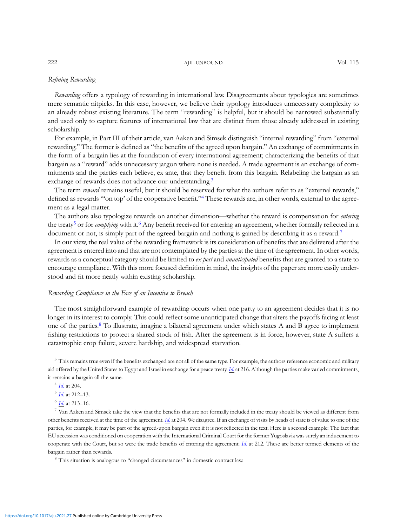## Refining Rewarding

Rewarding offers a typology of rewarding in international law. Disagreements about typologies are sometimes mere semantic nitpicks. In this case, however, we believe their typology introduces unnecessary complexity to an already robust existing literature. The term "rewarding" is helpful, but it should be narrowed substantially and used only to capture features of international law that are distinct from those already addressed in existing scholarship.

For example, in Part III of their article, van Aaken and Simsek distinguish "internal rewarding" from "external rewarding." The former is defined as "the benefits of the agreed upon bargain." An exchange of commitments in the form of a bargain lies at the foundation of every international agreement; characterizing the benefits of that bargain as a "reward" adds unnecessary jargon where none is needed. A trade agreement is an exchange of commitments and the parties each believe, ex ante, that they benefit from this bargain. Relabeling the bargain as an exchange of rewards does not advance our understanding.<sup>3</sup>

The term reward remains useful, but it should be reserved for what the authors refer to as "external rewards," defined as rewards "'on top' of the cooperative benefit."<sup>4</sup> These rewards are, in other words, external to the agreement as a legal matter.

The authors also typologize rewards on another dimension—whether the reward is compensation for *entering* the treaty<sup>5</sup> or for *complying* with it.<sup>6</sup> Any benefit received for entering an agreement, whether formally reflected in a document or not, is simply part of the agreed bargain and nothing is gained by describing it as a reward.<sup>7</sup>

In our view, the real value of the rewarding framework is its consideration of benefits that are delivered after the agreement is entered into and that are not contemplated by the parties at the time of the agreement. In other words, rewards as a conceptual category should be limited to ex post and unanticipated benefits that are granted to a state to encourage compliance. With this more focused definition in mind, the insights of the paper are more easily understood and fit more neatly within existing scholarship.

## Rewarding Compliance in the Face of an Incentive to Breach

The most straightforward example of rewarding occurs when one party to an agreement decides that it is no longer in its interest to comply. This could reflect some unanticipated change that alters the payoffs facing at least one of the parties.<sup>8</sup> To illustrate, imagine a bilateral agreement under which states A and B agree to implement fishing restrictions to protect a shared stock of fish. After the agreement is in force, however, state A suffers a catastrophic crop failure, severe hardship, and widespread starvation.

 $3$  This remains true even if the benefits exchanged are not all of the same type. For example, the authors reference economic and military aid offered by the United States to Egypt and Israel in exchange for a peace treaty. [Id](https://doi.org/10.1017/ajil.2021.2). at 216. Although the parties make varied commitments, it remains a bargain all the same.

 $4$  *[Id](https://doi.org/10.1017/ajil.2021.2).* at 204.

<sup>5</sup> [Id](https://doi.org/10.1017/ajil.2021.2). at 212–13.

<sup>6</sup> [Id](https://doi.org/10.1017/ajil.2021.2). at 213–16.

 $^7$  Van Aaken and Simsek take the view that the benefits that are not formally included in the treaty should be viewed as different from other benefits received at the time of the agreement. [Id](https://doi.org/10.1017/ajil.2021.2). at 204. We disagree. If an exchange of visits by heads of state is of value to one of the parties, for example, it may be part of the agreed-upon bargain even if it is not reflected in the text. Here is a second example: The fact that EU accession was conditioned on cooperation with the International Criminal Court for the former Yugoslavia was surely an inducement to cooperate with the Court, but so were the trade benefits of entering the agreement. [Id.](https://doi.org/10.1017/ajil.2021.2) at 212. These are better termed elements of the bargain rather than rewards.

<sup>8</sup> This situation is analogous to "changed circumstances" in domestic contract law.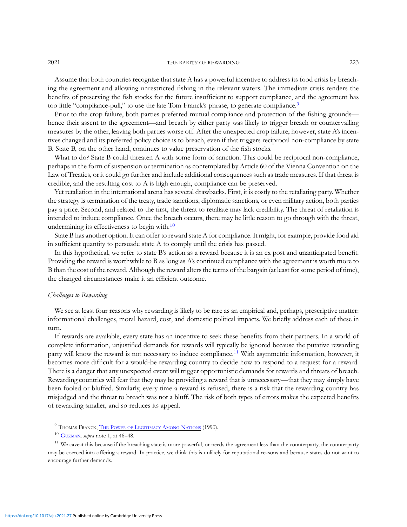2021 **THE RARITY OF REWARDING** 223

Assume that both countries recognize that state A has a powerful incentive to address its food crisis by breaching the agreement and allowing unrestricted fishing in the relevant waters. The immediate crisis renders the benefits of preserving the fish stocks for the future insufficient to support compliance, and the agreement has too little "compliance-pull," to use the late Tom Franck's phrase, to generate compliance.<sup>9</sup>

Prior to the crop failure, both parties preferred mutual compliance and protection of the fishing grounds hence their assent to the agreement—and breach by either party was likely to trigger breach or countervailing measures by the other, leaving both parties worse off. After the unexpected crop failure, however, state A's incentives changed and its preferred policy choice is to breach, even if that triggers reciprocal non-compliance by state B. State B, on the other hand, continues to value preservation of the fish stocks.

What to do? State B could threaten A with some form of sanction. This could be reciprocal non-compliance, perhaps in the form of suspension or termination as contemplated by Article 60 of the Vienna Convention on the Law of Treaties, or it could go further and include additional consequences such as trade measures. If that threat is credible, and the resulting cost to A is high enough, compliance can be preserved.

Yet retaliation in the international arena has several drawbacks. First, it is costly to the retaliating party. Whether the strategy is termination of the treaty, trade sanctions, diplomatic sanctions, or even military action, both parties pay a price. Second, and related to the first, the threat to retaliate may lack credibility. The threat of retaliation is intended to induce compliance. Once the breach occurs, there may be little reason to go through with the threat, undermining its effectiveness to begin with.<sup>10</sup>

State B has another option. It can offer to reward state A for compliance. It might, for example, provide food aid in sufficient quantity to persuade state A to comply until the crisis has passed.

In this hypothetical, we refer to state B's action as a reward because it is an ex post and unanticipated benefit. Providing the reward is worthwhile to B as long as A's continued compliance with the agreement is worth more to B than the cost of the reward. Although the reward alters the terms of the bargain (at least for some period of time), the changed circumstances make it an efficient outcome.

#### Challenges to Rewarding

We see at least four reasons why rewarding is likely to be rare as an empirical and, perhaps, prescriptive matter: informational challenges, moral hazard, cost, and domestic political impacts. We briefly address each of these in turn.

If rewards are available, every state has an incentive to seek these benefits from their partners. In a world of complete information, unjustified demands for rewards will typically be ignored because the putative rewarding party will know the reward is not necessary to induce compliance.11 With asymmetric information, however, it becomes more difficult for a would-be rewarding country to decide how to respond to a request for a reward. There is a danger that any unexpected event will trigger opportunistic demands for rewards and threats of breach. Rewarding countries will fear that they may be providing a reward that is unnecessary—that they may simply have been fooled or bluffed. Similarly, every time a reward is refused, there is a risk that the rewarding country has misjudged and the threat to breach was not a bluff. The risk of both types of errors makes the expected benefits of rewarding smaller, and so reduces its appeal.

<sup>9</sup> THOMAS FRANCK, THE POWER OF [LEGITIMACY](https://www.jstor.org/stable/3518832#metadata_info_tab_contents) AMONG NATIONS (1990).

 $11$  We caveat this because if the breaching state is more powerful, or needs the agreement less than the counterparty, the counterparty may be coerced into offering a reward. In practice, we think this is unlikely for reputational reasons and because states do not want to encourage further demands.

<https://doi.org/10.1017/aju.2021.27>Published online by Cambridge University Press

 $10$  [GUZMAN,](https://oxford.universitypressscholarship.com/view/10.1093/acprof:oso/9780195305562.001.0001/acprof-9780195305562) *supra* note 1, at 46–48.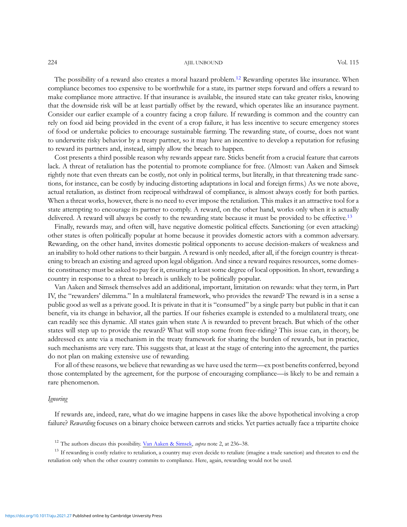#### 224 AJIL UNBOUND Vol. 115

The possibility of a reward also creates a moral hazard problem.<sup>12</sup> Rewarding operates like insurance. When compliance becomes too expensive to be worthwhile for a state, its partner steps forward and offers a reward to make compliance more attractive. If that insurance is available, the insured state can take greater risks, knowing that the downside risk will be at least partially offset by the reward, which operates like an insurance payment. Consider our earlier example of a country facing a crop failure. If rewarding is common and the country can rely on food aid being provided in the event of a crop failure, it has less incentive to secure emergency stores of food or undertake policies to encourage sustainable farming. The rewarding state, of course, does not want to underwrite risky behavior by a treaty partner, so it may have an incentive to develop a reputation for refusing to reward its partners and, instead, simply allow the breach to happen.

Cost presents a third possible reason why rewards appear rare. Sticks benefit from a crucial feature that carrots lack. A threat of retaliation has the potential to promote compliance for free. (Almost: van Aaken and Simsek rightly note that even threats can be costly, not only in political terms, but literally, in that threatening trade sanctions, for instance, can be costly by inducing distorting adaptations in local and foreign firms.) As we note above, actual retaliation, as distinct from reciprocal withdrawal of compliance, is almost always costly for both parties. When a threat works, however, there is no need to ever impose the retaliation. This makes it an attractive tool for a state attempting to encourage its partner to comply. A reward, on the other hand, works only when it is actually delivered. A reward will always be costly to the rewarding state because it must be provided to be effective.<sup>13</sup>

Finally, rewards may, and often will, have negative domestic political effects. Sanctioning (or even attacking) other states is often politically popular at home because it provides domestic actors with a common adversary. Rewarding, on the other hand, invites domestic political opponents to accuse decision-makers of weakness and an inability to hold other nations to their bargain. A reward is only needed, after all, if the foreign country is threatening to breach an existing and agreed upon legal obligation. And since a reward requires resources, some domestic constituency must be asked to pay for it, ensuring at least some degree of local opposition. In short, rewarding a country in response to a threat to breach is unlikely to be politically popular.

Van Aaken and Simsek themselves add an additional, important, limitation on rewards: what they term, in Part IV, the "rewarders' dilemma." In a multilateral framework, who provides the reward? The reward is in a sense a public good as well as a private good. It is private in that it is "consumed" by a single party but public in that it can benefit, via its change in behavior, all the parties. If our fisheries example is extended to a multilateral treaty, one can readily see this dynamic. All states gain when state A is rewarded to prevent breach. But which of the other states will step up to provide the reward? What will stop some from free-riding? This issue can, in theory, be addressed ex ante via a mechanism in the treaty framework for sharing the burden of rewards, but in practice, such mechanisms are very rare. This suggests that, at least at the stage of entering into the agreement, the parties do not plan on making extensive use of rewarding.

For all of these reasons, we believe that rewarding as we have used the term—ex post benefits conferred, beyond those contemplated by the agreement, for the purpose of encouraging compliance—is likely to be and remain a rare phenomenon.

#### Ignoring

If rewards are, indeed, rare, what do we imagine happens in cases like the above hypothetical involving a crop failure? Rewarding focuses on a binary choice between carrots and sticks. Yet parties actually face a tripartite choice

<sup>13</sup> If rewarding is costly relative to retaliation, a country may even decide to retaliate (imagine a trade sanction) and threaten to end the retaliation only when the other country commits to compliance. Here, again, rewarding would not be used.

<sup>&</sup>lt;sup>12</sup> The authors discuss this possibility. [Van Aaken & Simsek,](https://doi.org/10.1017/ajil.2021.2) *supra* note 2, at 236–38.